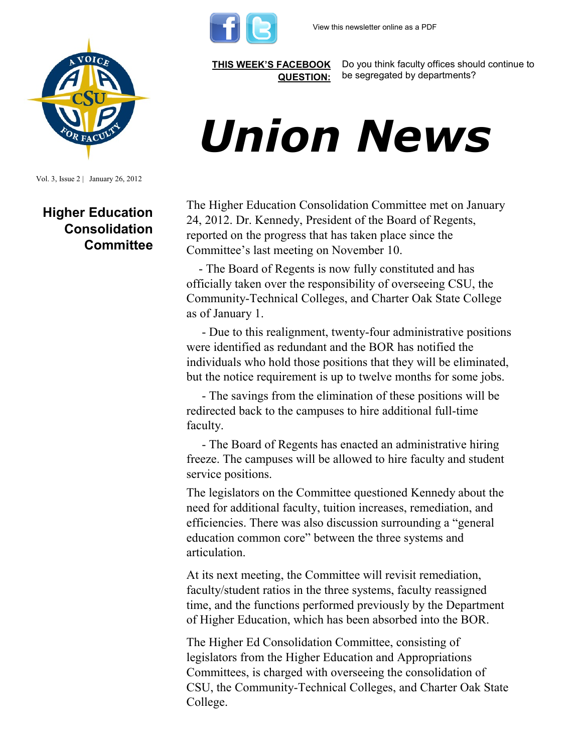



Vol. 3, Issue 2 | January 26, 2012

## **Higher Education Consolidation Committee**

**[THIS WEEK'S FACEBOOK](http://www.facebook.com/csuaaup#!/pages/CSU-AAUP/112907808749535)  [QUESTION:](http://www.facebook.com/csuaaup#!/pages/CSU-AAUP/112907808749535)**

Do you think faculty offices should continue to be segregated by departments?

## *Union News*

The Higher Education Consolidation Committee met on January 24, 2012. Dr. Kennedy, President of the Board of Regents, reported on the progress that has taken place since the Committee's last meeting on November 10.

 - The Board of Regents is now fully constituted and has officially taken over the responsibility of overseeing CSU, the Community-Technical Colleges, and Charter Oak State College as of January 1.

 - Due to this realignment, twenty-four administrative positions were identified as redundant and the BOR has notified the individuals who hold those positions that they will be eliminated, but the notice requirement is up to twelve months for some jobs.

 - The savings from the elimination of these positions will be redirected back to the campuses to hire additional full-time faculty.

 - The Board of Regents has enacted an administrative hiring freeze. The campuses will be allowed to hire faculty and student service positions.

The legislators on the Committee questioned Kennedy about the need for additional faculty, tuition increases, remediation, and efficiencies. There was also discussion surrounding a "general education common core" between the three systems and articulation.

At its next meeting, the Committee will revisit remediation, faculty/student ratios in the three systems, faculty reassigned time, and the functions performed previously by the Department of Higher Education, which has been absorbed into the BOR.

The Higher Ed Consolidation Committee, consisting of legislators from the Higher Education and Appropriations Committees, is charged with overseeing the consolidation of CSU, the Community-Technical Colleges, and Charter Oak State College.